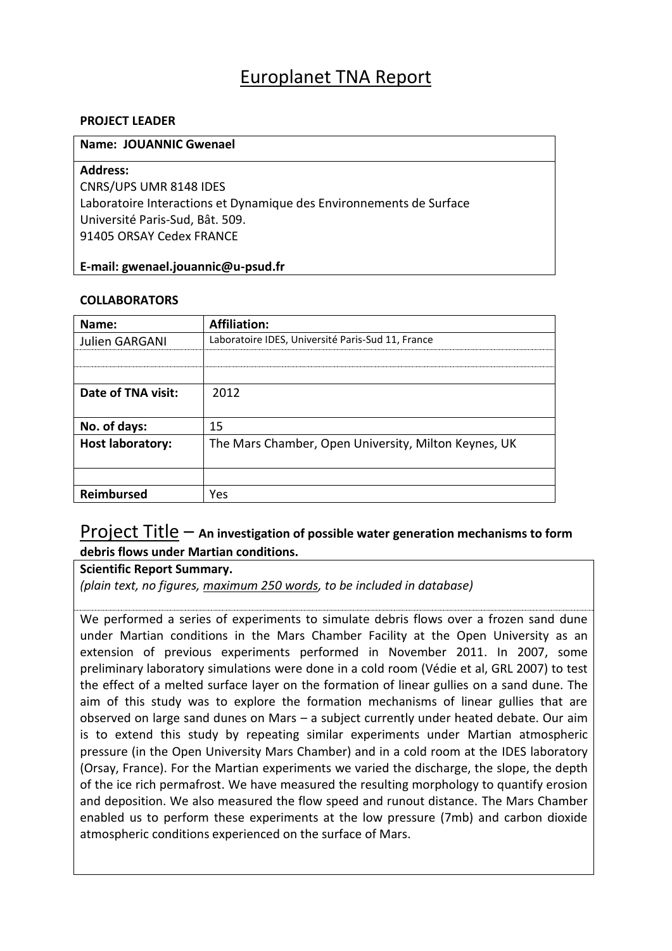## Europlanet TNA Report

### **PROJECT LEADER**

### **Name: JOUANNIC Gwenael**

### **Address:**

CNRS/UPS UMR 8148 IDES Laboratoire Interactions et Dynamique des Environnements de Surface Université Paris-Sud, Bât. 509. 91405 ORSAY Cedex FRANCE

### **E-mail: gwenael.jouannic@u-psud.fr**

### **COLLABORATORS**

| Name:                   | <b>Affiliation:</b>                                  |
|-------------------------|------------------------------------------------------|
| Julien GARGANI          | Laboratoire IDES, Université Paris-Sud 11, France    |
|                         |                                                      |
|                         |                                                      |
| Date of TNA visit:      | 2012                                                 |
|                         |                                                      |
| No. of days:            | 15                                                   |
| <b>Host laboratory:</b> | The Mars Chamber, Open University, Milton Keynes, UK |
|                         |                                                      |
|                         |                                                      |
| <b>Reimbursed</b>       | Yes                                                  |

### Project Title – **An investigation of possible water generation mechanisms to form debris flows under Martian conditions.**

### **Scientific Report Summary.**

*(plain text, no figures, maximum 250 words, to be included in database)*

We performed a series of experiments to simulate debris flows over a frozen sand dune under Martian conditions in the Mars Chamber Facility at the Open University as an extension of previous experiments performed in November 2011. In 2007, some preliminary laboratory simulations were done in a cold room (Védie et al, GRL 2007) to test the effect of a melted surface layer on the formation of linear gullies on a sand dune. The aim of this study was to explore the formation mechanisms of linear gullies that are observed on large sand dunes on Mars – a subject currently under heated debate. Our aim is to extend this study by repeating similar experiments under Martian atmospheric pressure (in the Open University Mars Chamber) and in a cold room at the IDES laboratory (Orsay, France). For the Martian experiments we varied the discharge, the slope, the depth of the ice rich permafrost. We have measured the resulting morphology to quantify erosion and deposition. We also measured the flow speed and runout distance. The Mars Chamber enabled us to perform these experiments at the low pressure (7mb) and carbon dioxide atmospheric conditions experienced on the surface of Mars.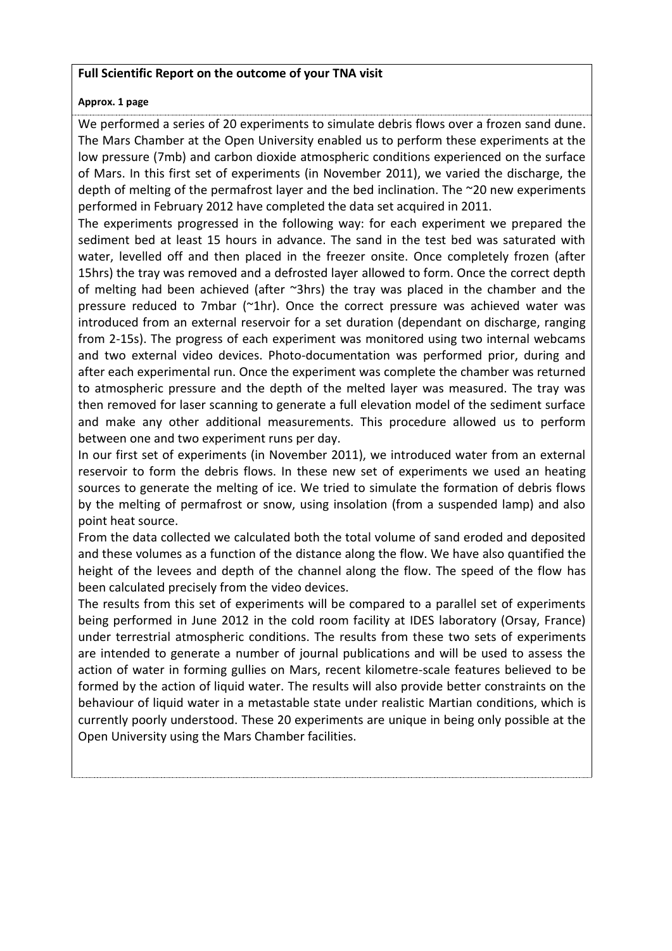### **Full Scientific Report on the outcome of your TNA visit**

### **Approx. 1 page**

We performed a series of 20 experiments to simulate debris flows over a frozen sand dune. The Mars Chamber at the Open University enabled us to perform these experiments at the low pressure (7mb) and carbon dioxide atmospheric conditions experienced on the surface of Mars. In this first set of experiments (in November 2011), we varied the discharge, the depth of melting of the permafrost layer and the bed inclination. The ~20 new experiments performed in February 2012 have completed the data set acquired in 2011.

The experiments progressed in the following way: for each experiment we prepared the sediment bed at least 15 hours in advance. The sand in the test bed was saturated with water, levelled off and then placed in the freezer onsite. Once completely frozen (after 15hrs) the tray was removed and a defrosted layer allowed to form. Once the correct depth of melting had been achieved (after ~3hrs) the tray was placed in the chamber and the pressure reduced to 7mbar (~1hr). Once the correct pressure was achieved water was introduced from an external reservoir for a set duration (dependant on discharge, ranging from 2-15s). The progress of each experiment was monitored using two internal webcams and two external video devices. Photo-documentation was performed prior, during and after each experimental run. Once the experiment was complete the chamber was returned to atmospheric pressure and the depth of the melted layer was measured. The tray was then removed for laser scanning to generate a full elevation model of the sediment surface and make any other additional measurements. This procedure allowed us to perform between one and two experiment runs per day.

In our first set of experiments (in November 2011), we introduced water from an external reservoir to form the debris flows. In these new set of experiments we used an heating sources to generate the melting of ice. We tried to simulate the formation of debris flows by the melting of permafrost or snow, using insolation (from a suspended lamp) and also point heat source.

From the data collected we calculated both the total volume of sand eroded and deposited and these volumes as a function of the distance along the flow. We have also quantified the height of the levees and depth of the channel along the flow. The speed of the flow has been calculated precisely from the video devices.

The results from this set of experiments will be compared to a parallel set of experiments being performed in June 2012 in the cold room facility at IDES laboratory (Orsay, France) under terrestrial atmospheric conditions. The results from these two sets of experiments are intended to generate a number of journal publications and will be used to assess the action of water in forming gullies on Mars, recent kilometre-scale features believed to be formed by the action of liquid water. The results will also provide better constraints on the behaviour of liquid water in a metastable state under realistic Martian conditions, which is currently poorly understood. These 20 experiments are unique in being only possible at the Open University using the Mars Chamber facilities.